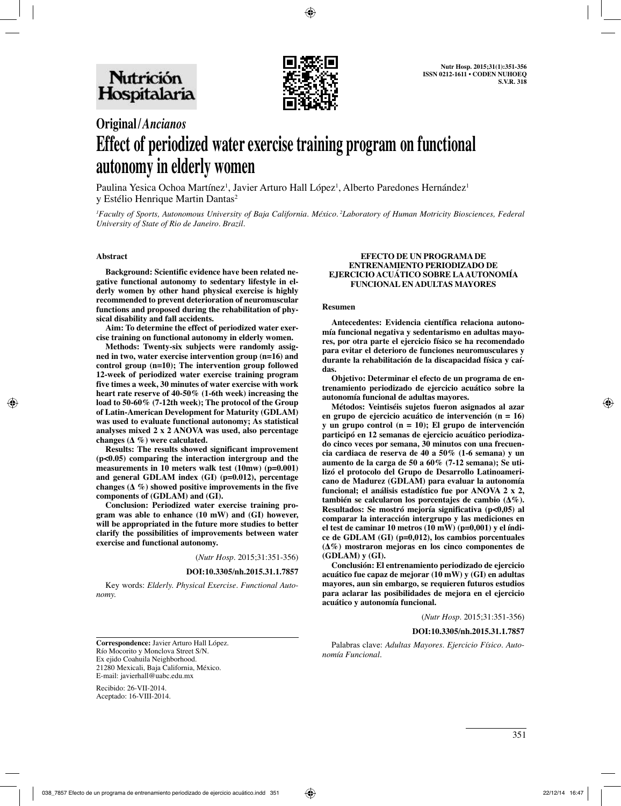

# **Original/***Ancianos* **Effect of periodized water exercise training program on functional autonomy in elderly women**

Paulina Yesica Ochoa Martínez<sup>1</sup>, Javier Arturo Hall López<sup>1</sup>, Alberto Paredones Hernández<sup>1</sup> y Estélio Henrique Martin Dantas<sup>2</sup>

*1 Faculty of Sports, Autonomous University of Baja California. México. 2Laboratory of Human Motricity Biosciences, Federal University of State of Rio de Janeiro. Brazil.*

#### **Abstract**

**Background: Scientific evidence have been related negative functional autonomy to sedentary lifestyle in elderly women by other hand physical exercise is highly recommended to prevent deterioration of neuromuscular functions and proposed during the rehabilitation of physical disability and fall accidents.** 

**Aim: To determine the effect of periodized water exercise training on functional autonomy in elderly women.** 

**Methods: Twenty-six subjects were randomly assigned in two, water exercise intervention group (n=16) and control group (n=10); The intervention group followed 12-week of periodized water exercise training program five times a week, 30 minutes of water exercise with work heart rate reserve of 40-50% (1-6th week) increasing the load to 50-60% (7-12th week); The protocol of the Group of Latin-American Development for Maturity (GDLAM) was used to evaluate functional autonomy; As statistical analyses mixed 2 x 2 ANOVA was used, also percentage changes (Δ %) were calculated.** 

**Results: The results showed significant improvement (p<0.05) comparing the interaction intergroup and the measurements in 10 meters walk test (10mw) (p=0.001) and general GDLAM index (GI) (p=0.012), percentage changes (Δ %) showed positive improvements in the five components of (GDLAM) and (GI).** 

**Conclusion: Periodized water exercise training program was able to enhance (10 mW) and (GI) however, will be appropriated in the future more studies to better clarify the possibilities of improvements between water exercise and functional autonomy.**

(*Nutr Hosp.* 2015;31:351-356)

**DOI:10.3305/nh.2015.31.1.7857**

Key words: *Elderly. Physical Exercise. Functional Auto‑ nomy.*

#### **Efecto de un programa de entrenamiento periodizado de ejercicio acuático sobre laautonomía funcionalen adultas mayores**

#### **Resumen**

**Antecedentes: Evidencia científica relaciona autonomía funcional negativa y sedentarismo en adultas mayores, por otra parte el ejercicio físico se ha recomendado para evitar el deterioro de funciones neuromusculares y durante la rehabilitación de la discapacidad física y caídas.** 

**Objetivo: Determinar el efecto de un programa de entrenamiento periodizado de ejercicio acuático sobre la autonomía funcional de adultas mayores.** 

**Métodos: Veintiséis sujetos fueron asignados al azar en grupo de ejercicio acuático de intervención (n = 16) y un grupo control (n = 10); El grupo de intervención participó en 12 semanas de ejercicio acuático periodizado cinco veces por semana, 30 minutos con una frecuencia cardiaca de reserva de 40 a 50% (1-6 semana) y un aumento de la carga de 50 a 60% (7-12 semana); Se utilizó el protocolo del Grupo de Desarrollo Latinoamericano de Madurez (GDLAM) para evaluar la autonomía funcional; el análisis estadístico fue por ANOVA 2 x 2, también se calcularon los porcentajes de cambio (Δ%). Resultados: Se mostró mejoría significativa (p<0,05) al comparar la interacción intergrupo y las mediciones en el test de caminar 10 metros (10 mW) (p=0,001) y el índice de GDLAM (GI) (p=0,012), los cambios porcentuales (Δ%) mostraron mejoras en los cinco componentes de (GDLAM) y (GI).** 

**Conclusión: El entrenamiento periodizado de ejercicio acuático fue capaz de mejorar (10 mW) y (GI) en adultas mayores, aun sin embargo, se requieren futuros estudios para aclarar las posibilidades de mejora en el ejercicio acuático y autonomía funcional.**

(*Nutr Hosp.* 2015;31:351-356)

#### **DOI:10.3305/nh.2015.31.1.7857**

Palabras clave: *Adultas Mayores. Ejercicio Físico. Auto‑ nomía Funcional.*

**Correspondence:** Javier Arturo Hall López. Río Mocorito y Monclova Street S/N. Ex ejido Coahuila Neighborhood. 21280 Mexicali, Baja California, México. E-mail: javierhall@uabc.edu.mx

Recibido: 26-VII-2014. Aceptado: 16-VIII-2014.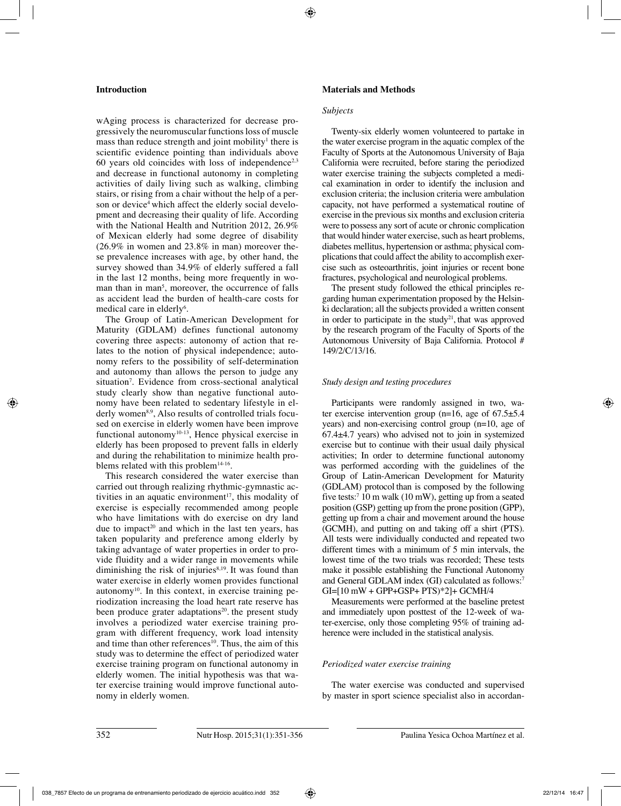# **Introduction**

wAging process is characterized for decrease progressively the neuromuscular functions loss of muscle mass than reduce strength and joint mobility $\mathbf{I}$  there is scientific evidence pointing than individuals above 60 years old coincides with loss of independence<sup>2,3</sup> and decrease in functional autonomy in completing activities of daily living such as walking, climbing stairs, or rising from a chair without the help of a person or device<sup>4</sup> which affect the elderly social development and decreasing their quality of life. According with the National Health and Nutrition 2012, 26.9% of Mexican elderly had some degree of disability (26.9% in women and 23.8% in man) moreover these prevalence increases with age, by other hand, the survey showed than 34.9% of elderly suffered a fall in the last 12 months, being more frequently in woman than in man<sup>5</sup>, moreover, the occurrence of falls as accident lead the burden of health-care costs for medical care in elderly<sup>6</sup>.

The Group of Latin-American Development for Maturity (GDLAM) defines functional autonomy covering three aspects: autonomy of action that relates to the notion of physical independence; autonomy refers to the possibility of self-determination and autonomy than allows the person to judge any situation7 . Evidence from cross-sectional analytical study clearly show than negative functional autonomy have been related to sedentary lifestyle in elderly women<sup>8,9</sup>. Also results of controlled trials focused on exercise in elderly women have been improve functional autonomy $10-13$ , Hence physical exercise in elderly has been proposed to prevent falls in elderly and during the rehabilitation to minimize health problems related with this problem $14-16$ .

This research considered the water exercise than carried out through realizing rhythmic-gymnastic activities in an aquatic environment<sup>17</sup>, this modality of exercise is especially recommended among people who have limitations with do exercise on dry land due to impact<sup>20</sup> and which in the last ten years, has taken popularity and preference among elderly by taking advantage of water properties in order to provide fluidity and a wider range in movements while diminishing the risk of injuries $8,19$ . It was found than water exercise in elderly women provides functional autonomy<sup>10</sup>. In this context, in exercise training periodization increasing the load heart rate reserve has been produce grater adaptations<sup>20</sup>, the present study involves a periodized water exercise training program with different frequency, work load intensity and time than other references<sup>10</sup>. Thus, the aim of this study was to determine the effect of periodized water exercise training program on functional autonomy in elderly women. The initial hypothesis was that water exercise training would improve functional autonomy in elderly women.

# **Materials and Methods**

### *Subjects*

Twenty-six elderly women volunteered to partake in the water exercise program in the aquatic complex of the Faculty of Sports at the Autonomous University of Baja California were recruited, before staring the periodized water exercise training the subjects completed a medical examination in order to identify the inclusion and exclusion criteria; the inclusion criteria were ambulation capacity, not have performed a systematical routine of exercise in the previous six months and exclusion criteria were to possess any sort of acute or chronic complication that would hinder water exercise, such as heart problems, diabetes mellitus, hypertension or asthma; physical complications that could affect the ability to accomplish exercise such as osteoarthritis, joint injuries or recent bone fractures, psychological and neurological problems.

The present study followed the ethical principles regarding human experimentation proposed by the Helsinki declaration; all the subjects provided a written consent in order to participate in the study<sup>21</sup>, that was approved by the research program of the Faculty of Sports of the Autonomous University of Baja California. Protocol # 149/2/C/13/16.

# *Study design and testing procedures*

Participants were randomly assigned in two, water exercise intervention group (n=16, age of  $67.5\pm5.4$ ) years) and non-exercising control group (n=10, age of 67.4±4.7 years) who advised not to join in systemized exercise but to continue with their usual daily physical activities; In order to determine functional autonomy was performed according with the guidelines of the Group of Latin-American Development for Maturity (GDLAM) protocol than is composed by the following five tests:7 10 m walk (10 mW), getting up from a seated position (GSP) getting up from the prone position (GPP), getting up from a chair and movement around the house (GCMH), and putting on and taking off a shirt (PTS). All tests were individually conducted and repeated two different times with a minimum of 5 min intervals, the lowest time of the two trials was recorded; These tests make it possible establishing the Functional Autonomy and General GDLAM index (GI) calculated as follows:<sup>7</sup>  $GI=[10 mW + GPP+GSP+PTS)*21+ GCMH/4$ 

Measurements were performed at the baseline pretest and immediately upon posttest of the 12-week of water-exercise, only those completing 95% of training adherence were included in the statistical analysis.

# *Periodized water exercise training*

The water exercise was conducted and supervised by master in sport science specialist also in accordan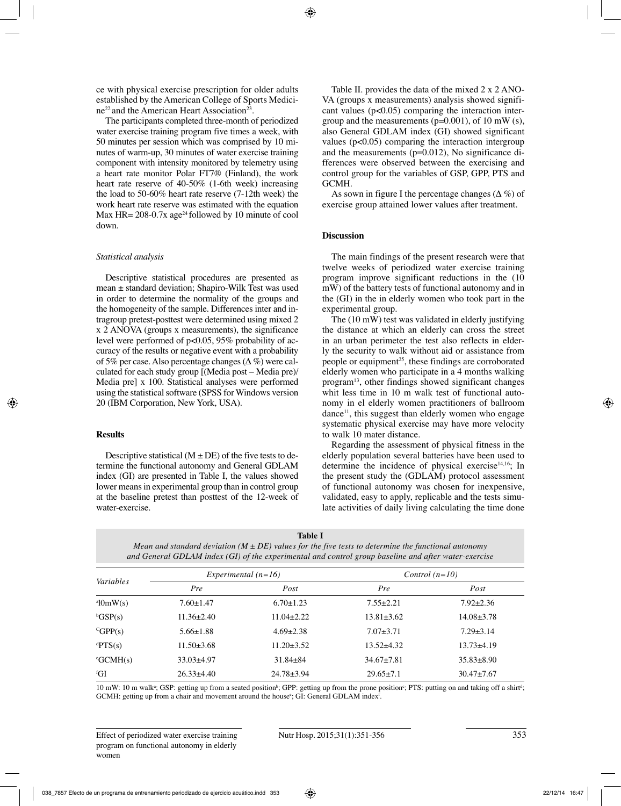ce with physical exercise prescription for older adults established by the American College of Sports Medici $ne^{22}$  and the American Heart Association<sup>23</sup>.

The participants completed three-month of periodized water exercise training program five times a week, with 50 minutes per session which was comprised by 10 minutes of warm-up, 30 minutes of water exercise training component with intensity monitored by telemetry using a heart rate monitor Polar FT7® (Finland), the work heart rate reserve of 40-50% (1-6th week) increasing the load to 50-60% heart rate reserve (7-12th week) the work heart rate reserve was estimated with the equation Max HR=  $208-0.7x$  age<sup>24</sup> followed by 10 minute of cool down.

## *Statistical analysis*

Descriptive statistical procedures are presented as mean ± standard deviation; Shapiro-Wilk Test was used in order to determine the normality of the groups and the homogeneity of the sample. Differences inter and intragroup pretest-posttest were determined using mixed 2 x 2 ANOVA (groups x measurements), the significance level were performed of p<0.05, 95% probability of accuracy of the results or negative event with a probability of 5% per case. Also percentage changes  $(\Delta \%)$  were calculated for each study group [(Media post – Media pre)/ Media pre] x 100. Statistical analyses were performed using the statistical software (SPSS for Windows version 20 (IBM Corporation, New York, USA).

# **Results**

Descriptive statistical ( $M \pm DE$ ) of the five tests to determine the functional autonomy and General GDLAM index (GI) are presented in Table I, the values showed lower means in experimental group than in control group at the baseline pretest than posttest of the 12-week of water-exercise.

Table II. provides the data of the mixed 2 x 2 ANO-VA (groups x measurements) analysis showed significant values  $(p<0.05)$  comparing the interaction intergroup and the measurements (p=0.001), of 10 mW (s), also General GDLAM index (GI) showed significant values  $(p<0.05)$  comparing the interaction intergroup and the measurements (p=0.012), No significance differences were observed between the exercising and control group for the variables of GSP, GPP, PTS and GCMH.

As sown in figure I the percentage changes  $(\Delta \%)$  of exercise group attained lower values after treatment.

# **Discussion**

The main findings of the present research were that twelve weeks of periodized water exercise training program improve significant reductions in the (10 mW) of the battery tests of functional autonomy and in the (GI) in the in elderly women who took part in the experimental group.

The (10 mW) test was validated in elderly justifying the distance at which an elderly can cross the street in an urban perimeter the test also reflects in elderly the security to walk without aid or assistance from people or equipment<sup>25</sup>, these findings are corroborated elderly women who participate in a 4 months walking program13, other findings showed significant changes whit less time in 10 m walk test of functional autonomy in el elderly women practitioners of ballroom  $\mu$  dance<sup>11</sup>, this suggest than elderly women who engage systematic physical exercise may have more velocity to walk 10 mater distance.

Regarding the assessment of physical fitness in the elderly population several batteries have been used to determine the incidence of physical exercise $14,16$ ; In the present study the (GDLAM) protocol assessment of functional autonomy was chosen for inexpensive, validated, easy to apply, replicable and the tests simulate activities of daily living calculating the time done

**Table I**

*Mean and standard deviation (M ± DE) values for the five tests to determine the functional autonomy and General GDLAM index (GI) of the experimental and control group baseline and after water‑exercise*

| Variables                    | Experimental $(n=16)$ |                  | Control $(n=10)$ |                  |  |
|------------------------------|-----------------------|------------------|------------------|------------------|--|
|                              | Pre                   | Post             | Pre              | Post             |  |
| $a$ l $0mW(s)$               | $7.60 \pm 1.47$       | $6.70 \pm 1.23$  | $7.55 \pm 2.21$  | $7.92 \pm 2.36$  |  |
| bGSP(s)                      | $11.36 \pm 2.40$      | $11.04 \pm 2.22$ | $13.81 \pm 3.62$ | $14.08 \pm 3.78$ |  |
| ${}^c$ GPP(s)                | $5.66 \pm 1.88$       | $4.69 \pm 2.38$  | $7.07 \pm 3.71$  | $7.29 \pm 3.14$  |  |
| $\rm{dPTS(s)}$               | $11.50\pm3.68$        | $11.20 \pm 3.52$ | $13.52 \pm 4.32$ | $13.73 \pm 4.19$ |  |
| $\text{°GCMH}(s)$            | $33.03\pm4.97$        | $31.84 \pm 84$   | $34.67 \pm 7.81$ | $35.83 \pm 8.90$ |  |
| ${}^{\mathrm{f}}\mathrm{GI}$ | $26.33\pm4.40$        | $24.78 \pm 3.94$ | $29.65 \pm 7.1$  | $30.47 \pm 7.67$ |  |

10 mW: 10 m walk<sup>a</sup>; GSP: getting up from a seated position<sup>b</sup>; GPP: getting up from the prone position<sup>c</sup>; PTS: putting on and taking off a shirt<sup>d</sup>; GCMH: getting up from a chair and movement around the house<sup>e</sup>; GI: General GDLAM index<sup>f</sup>.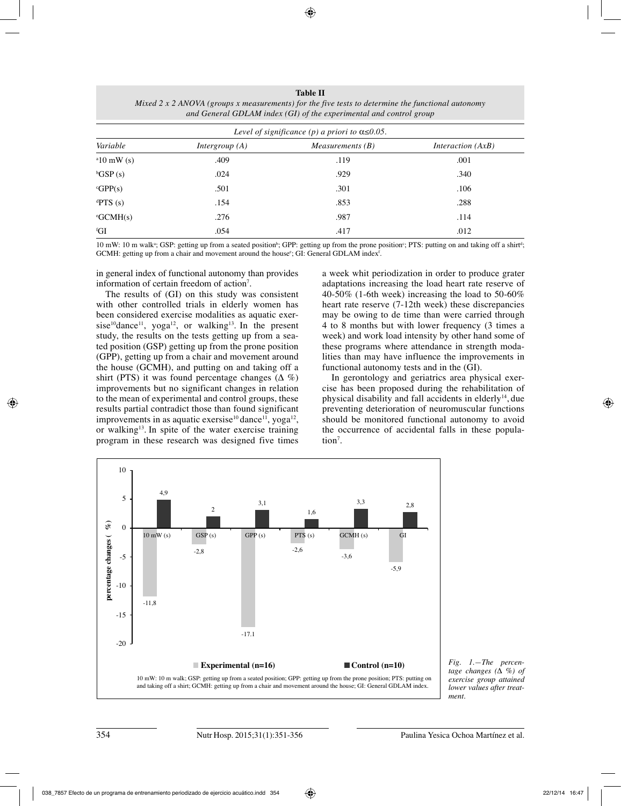**Table II** *Mixed 2 x 2 ANOVA (groups x measurements) for the five tests to determine the functional autonomy and General GDLAM index (GI) of the experimental and control group*

| Level of significance (p) a priori to $\alpha \leq 0.05$ . |                  |                    |                          |  |  |  |  |
|------------------------------------------------------------|------------------|--------------------|--------------------------|--|--|--|--|
| Variable                                                   | Intergroup $(A)$ | Measurements $(B)$ | <i>Interaction</i> (AxB) |  |  |  |  |
| $\mathrm{^{a}10~mW}$ (s)                                   | .409             | .119               | .001                     |  |  |  |  |
| ${}^{\text{b}}\text{GSP}$ (s)                              | .024             | .929               | .340                     |  |  |  |  |
| ${}^c$ GPP(s)                                              | .501             | .301               | .106                     |  |  |  |  |
| ${}^{\text{d}}$ PTS (s)                                    | .154             | .853               | .288                     |  |  |  |  |
| $\text{°GCMH}(s)$                                          | .276             | .987               | .114                     |  |  |  |  |
| ${}^{\mathrm{f}}\mathrm{GI}$                               | .054             | .417               | .012                     |  |  |  |  |

10 mW: 10 m walk<sup>a</sup>; GSP: getting up from a seated position<sup>b</sup>; GPP: getting up from the prone position<sup>c</sup>; PTS: putting on and taking off a shirt<sup>a</sup>;  $GCMH$ : getting up from a chair and movement around the house<sup>e</sup>; GI: General  $GDLAM$  index<sup>t</sup>.

in general index of functional autonomy than provides information of certain freedom of action<sup>7</sup>.

The results of (GI) on this study was consistent with other controlled trials in elderly women has been considered exercise modalities as aquatic exersise<sup>10</sup>dance<sup>11</sup>, yoga<sup>12</sup>, or walking<sup>13</sup>. In the present study, the results on the tests getting up from a seated position (GSP) getting up from the prone position (GPP), getting up from a chair and movement around the house (GCMH), and putting on and taking off a shirt (PTS) it was found percentage changes  $(\Delta \%)$ improvements but no significant changes in relation to the mean of experimental and control groups, these results partial contradict those than found significant improvements in as aquatic exersise<sup>10</sup> dance<sup>11</sup>, yoga<sup>12</sup>, or walking<sup>13</sup>. In spite of the water exercise training program in these research was designed five times

a week whit periodization in order to produce grater adaptations increasing the load heart rate reserve of 40-50% (1-6th week) increasing the load to 50-60% heart rate reserve (7-12th week) these discrepancies may be owing to de time than were carried through 4 to 8 months but with lower frequency (3 times a week) and work load intensity by other hand some of these programs where attendance in strength modalities than may have influence the improvements in functional autonomy tests and in the (GI).

In gerontology and geriatrics area physical exercise has been proposed during the rehabilitation of physical disability and fall accidents in elderly<sup>14</sup>, due preventing deterioration of neuromuscular functions should be monitored functional autonomy to avoid the occurrence of accidental falls in these population<sup>7</sup>.



*Fig. 1.—The percen‑ tage changes (Δ %) of exercise group attained lower values after treat‑ ment.*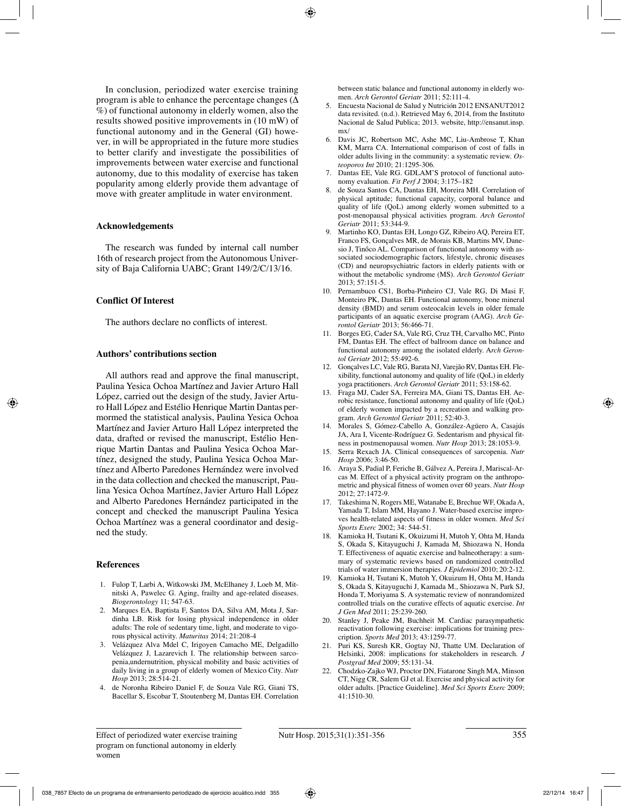In conclusion, periodized water exercise training program is able to enhance the percentage changes ( $\Delta$ %) of functional autonomy in elderly women, also the results showed positive improvements in (10 mW) of functional autonomy and in the General (GI) however, in will be appropriated in the future more studies to better clarify and investigate the possibilities of improvements between water exercise and functional autonomy, due to this modality of exercise has taken popularity among elderly provide them advantage of move with greater amplitude in water environment.

### **Acknowledgements**

The research was funded by internal call number 16th of research project from the Autonomous University of Baja California UABC; Grant 149/2/C/13/16.

#### **Conflict Of Interest**

The authors declare no conflicts of interest.

# **Authors' contributions section**

All authors read and approve the final manuscript, Paulina Yesica Ochoa Martínez and Javier Arturo Hall López, carried out the design of the study, Javier Arturo Hall López and Estélio Henrique Martin Dantas permormed the statistical analysis, Paulina Yesica Ochoa Martínez and Javier Arturo Hall López interpreted the data, drafted or revised the manuscript, Estélio Henrique Martin Dantas and Paulina Yesica Ochoa Martínez, designed the study, Paulina Yesica Ochoa Martínez and Alberto Paredones Hernández were involved in the data collection and checked the manuscript, Paulina Yesica Ochoa Martínez, Javier Arturo Hall López and Alberto Paredones Hernández participated in the concept and checked the manuscript Paulina Yesica Ochoa Martínez was a general coordinator and designed the study.

#### **References**

- 1. Fulop T, Larbi A, Witkowski JM, McElhaney J, Loeb M, Mitnitski A, Pawelec G. Aging, frailty and age-related diseases. *Biogerontology* 11; 547-63.
- 2. Marques EA, Baptista F, Santos DA, Silva AM, Mota J, Sardinha LB. Risk for losing physical independence in older adults: The role of sedentary time, light, and moderate to vigorous physical activity. *Maturitas* 2014; 21:208-4
- 3. Velázquez Alva Mdel C, Irigoyen Camacho ME, Delgadillo Velázquez J, Lazarevich I. The relationship between sarcopenia,undernutrition, physical mobility and basic activities of daily living in a group of elderly women of Mexico City. *Nutr Hosp* 2013; 28:514-21.
- 4. de Noronha Ribeiro Daniel F, de Souza Vale RG, Giani TS, Bacellar S, Escobar T, Stoutenberg M, Dantas EH. Correlation

between static balance and functional autonomy in elderly women. *Arch Gerontol Geriatr* 2011; 52:111-4.

- 5. Encuesta Nacional de Salud y Nutrición 2012 ENSANUT2012 data revisited. (n.d.). Retrieved May 6, 2014, from the Instituto Nacional de Salud Publica; 2013. website, http://ensanut.insp. mx/
- 6. Davis JC, Robertson MC, Ashe MC, Liu-Ambrose T, Khan KM, Marra CA. International comparison of cost of falls in older adults living in the community: a systematic review. *Os‑ teoporos Int* 2010; 21:1295-306.
- 7. Dantas EE, Vale RG. GDLAM'S protocol of functional autonomy evaluation. *Fit Perf J* 2004; 3:175–182
- 8. de Souza Santos CA, Dantas EH, Moreira MH. Correlation of physical aptitude; functional capacity, corporal balance and quality of life (QoL) among elderly women submitted to a post-menopausal physical activities program. *Arch Gerontol Geriatr* 2011; 53:344-9.
- 9. Martinho KO, Dantas EH, Longo GZ, Ribeiro AQ, Pereira ET, Franco FS, Gonçalves MR, de Morais KB, Martins MV, Danesio J, Tinôco AL. Comparison of functional autonomy with associated sociodemographic factors, lifestyle, chronic diseases (CD) and neuropsychiatric factors in elderly patients with or without the metabolic syndrome (MS). *Arch Gerontol Geriatr* 2013; 57:151-5.
- 10. Pernambuco CS1, Borba-Pinheiro CJ, Vale RG, Di Masi F, Monteiro PK, Dantas EH. Functional autonomy, bone mineral density (BMD) and serum osteocalcin levels in older female participants of an aquatic exercise program (AAG). *Arch Ge‑ rontol Geriatr* 2013; 56:466-71.
- 11. Borges EG, Cader SA, Vale RG, Cruz TH, Carvalho MC, Pinto FM, Dantas EH. The effect of ballroom dance on balance and functional autonomy among the isolated elderly. A*rch Geron‑ tol Geriatr* 2012; 55:492-6.
- 12. Gonçalves LC, Vale RG, Barata NJ, Varejão RV, Dantas EH. Flexibility, functional autonomy and quality of life (QoL) in elderly yoga practitioners. *Arch Gerontol Geriatr* 2011; 53:158-62.
- 13. Fraga MJ, Cader SA, Ferreira MA, Giani TS, Dantas EH. Aerobic resistance, functional autonomy and quality of life (QoL) of elderly women impacted by a recreation and walking program. *Arch Gerontol Geriatr* 2011; 52:40-3.
- 14. Morales S, Gómez-Cabello A, González-Agüero A, Casajús JA, Ara I, Vicente-Rodríguez G. Sedentarism and physical fitness in postmenopausal women. *Nutr Hosp* 2013; 28:1053-9.
- 15. Serra Rexach JA. Clinical consequences of sarcopenia. *Nutr Hosp* 2006; 3:46-50.
- 16. Araya S, Padial P, Feriche B, Gálvez A, Pereira J, Mariscal-Arcas M. Effect of a physical activity program on the anthropometric and physical fitness of women over 60 years. *Nutr Hosp*  $2012 \cdot 27.1472 - 9$
- 17. Takeshima N, Rogers ME, Watanabe E, Brechue WF, Okada A, Yamada T, Islam MM, Hayano J. Water-based exercise improves health-related aspects of fitness in older women. *Med Sci Sports Exerc* 2002; 34: 544-51.
- 18. Kamioka H, Tsutani K, Okuizumi H, Mutoh Y, Ohta M, Handa S, Okada S, Kitayuguchi J, Kamada M, Shiozawa N, Honda T. Effectiveness of aquatic exercise and balneotherapy: a summary of systematic reviews based on randomized controlled trials of water immersion therapies. *J Epidemiol* 2010; 20:2-12.
- 19. Kamioka H, Tsutani K, Mutoh Y, Okuizum H, Ohta M, Handa S, Okada S, Kitayuguchi J, Kamada M., Shiozawa N, Park SJ, Honda T, Moriyama S. A systematic review of nonrandomized controlled trials on the curative effects of aquatic exercise. *Int J Gen Med* 2011; 25:239-260.
- 20. Stanley J, Peake JM, Buchheit M. Cardiac parasympathetic reactivation following exercise: implications for training prescription. *Sports Med* 2013; 43:1259-77.
- 21. Puri KS, Suresh KR, Gogtay NJ, Thatte UM. Declaration of Helsinki, 2008: implications for stakeholders in research. *J Postgrad Med* 2009; 55:131-34.
- 22. Chodzko-Zajko WJ, Proctor DN, Fiatarone Singh MA, Minson CT, Nigg CR, Salem GJ et al. Exercise and physical activity for older adults. [Practice Guideline]. *Med Sci Sports Exerc* 2009; 41:1510-30.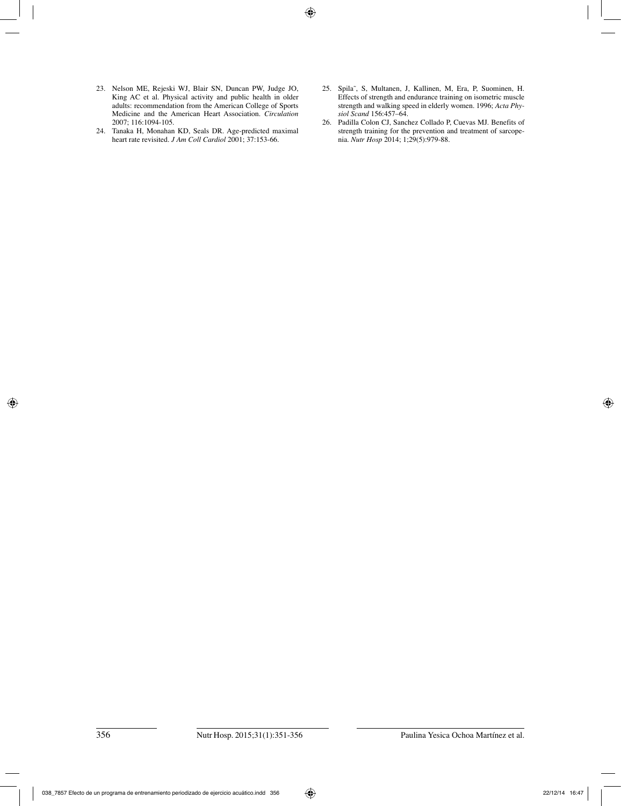- 23. Nelson ME, Rejeski WJ, Blair SN, Duncan PW, Judge JO, King AC et al. Physical activity and public health in older adults: recommendation from the American College of Sports Medicine and the American Heart Association. *Circulation* 2007; 116:1094-105.
- 24. Tanaka H, Monahan KD, Seals DR. Age-predicted maximal heart rate revisited. *J Am Coll Cardiol* 2001; 37:153-66.
- 25. Spila˜, S, Multanen, J, Kallinen, M, Era, P, Suominen, H. Effects of strength and endurance training on isometric muscle strength and walking speed in elderly women. 1996; *Acta Phy‑ siol Scand* 156:457–64.
- 26. Padilla Colon CJ, Sanchez Collado P, Cuevas MJ. Benefits of strength training for the prevention and treatment of sarcopenia. *Nutr Hosp* 2014; 1;29(5):979-88.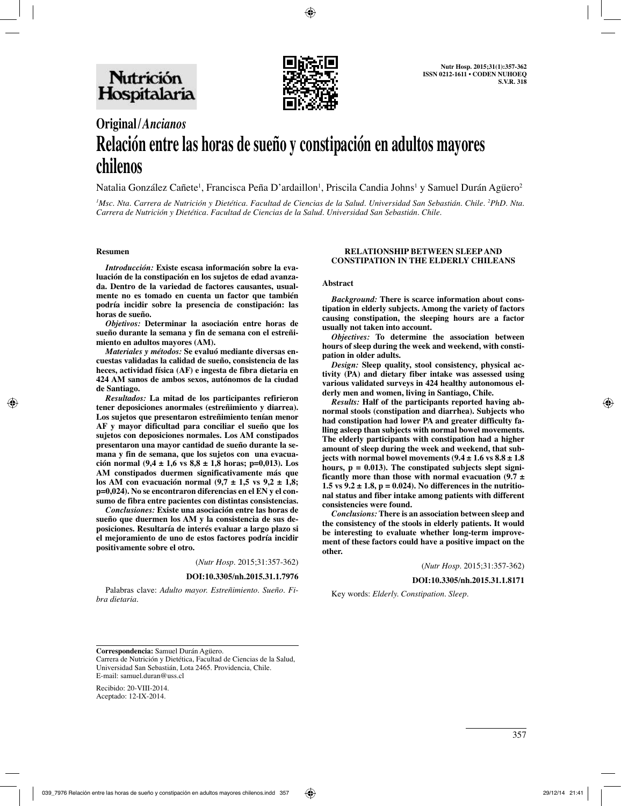

# **Original/***Ancianos* **Relación entre las horas de sueño y constipación en adultos mayores chilenos**

Natalia González Cañete<sup>1</sup>, Francisca Peña D'ardaillon<sup>1</sup>, Priscila Candia Johns<sup>1</sup> y Samuel Durán Agüero<sup>2</sup>

*1 Msc. Nta. Carrera de Nutrición y Dietética. Facultad de Ciencias de la Salud. Universidad San Sebastián. Chile. 2 PhD. Nta. Carrera de Nutrición y Dietética. Facultad de Ciencias de la Salud. Universidad San Sebastián. Chile.*

#### **Resumen**

*Introducción:* **Existe escasa información sobre la evaluación de la constipación en los sujetos de edad avanzada. Dentro de la variedad de factores causantes, usualmente no es tomado en cuenta un factor que también podría incidir sobre la presencia de constipación: las horas de sueño.**

*Objetivos:* **Determinar la asociación entre horas de sueño durante la semana y fin de semana con el estreñimiento en adultos mayores (AM).**

*Materiales y métodos:* **Se evaluó mediante diversas encuestas validadas la calidad de sueño, consistencia de las heces, actividad física (AF) e ingesta de fibra dietaria en 424 AM sanos de ambos sexos, autónomos de la ciudad de Santiago.** 

*Resultados:* **La mitad de los participantes refirieron tener deposiciones anormales (estreñimiento y diarrea). Los sujetos que presentaron estreñimiento tenían menor AF y mayor dificultad para conciliar el sueño que los sujetos con deposiciones normales. Los AM constipados presentaron una mayor cantidad de sueño durante la semana y fin de semana, que los sujetos con una evacuación normal (9,4 ± 1,6 vs 8,8 ± 1,8 horas; p=0,013). Los AM constipados duermen significativamente más que los AM con evacuación normal (9,7 ± 1,5 vs 9,2 ± 1,8; p=0,024). No se encontraron diferencias en el EN y el consumo de fibra entre pacientes con distintas consistencias.** 

*Conclusiones:* **Existe una asociación entre las horas de sueño que duermen los AM y la consistencia de sus deposiciones. Resultaría de interés evaluar a largo plazo si el mejoramiento de uno de estos factores podría incidir positivamente sobre el otro.** 

(*Nutr Hosp.* 2015;31:357-362)

#### **DOI:10.3305/nh.2015.31.1.7976**

Palabras clave: *Adulto mayor. Estreñimiento. Sueño. Fibra dietaria.*

#### **RELATIONSHIP BETWEEN SLEEP AND CONSTIPATION IN THE ELDERLY CHILEANS**

#### **Abstract**

*Background:* **There is scarce information about constipation in elderly subjects. Among the variety of factors causing constipation, the sleeping hours are a factor usually not taken into account.** 

*Objectives:* **To determine the association between hours of sleep during the week and weekend, with constipation in older adults.** 

*Design:* **Sleep quality, stool consistency, physical activity (PA) and dietary fiber intake was assessed using various validated surveys in 424 healthy autonomous elderly men and women, living in Santiago, Chile.** 

*Results:* **Half of the participants reported having abnormal stools (constipation and diarrhea). Subjects who had constipation had lower PA and greater difficulty falling asleep than subjects with normal bowel movements. The elderly participants with constipation had a higher amount of sleep during the week and weekend, that subjects with normal bowel movements**  $(9.4 \pm 1.6 \text{ vs } 8.8 \pm 1.8)$ **hours, p = 0.013). The constipated subjects slept significantly more than those with normal evacuation (9.7 ± 1.5 vs 9.2 ± 1.8, p = 0.024). No differences in the nutritional status and fiber intake among patients with different consistencies were found.** 

*Conclusions:* **There is an association between sleep and the consistency of the stools in elderly patients. It would be interesting to evaluate whether long-term improvement of these factors could have a positive impact on the other.**

(*Nutr Hosp.* 2015;31:357-362)

**DOI:10.3305/nh.2015.31.1.8171**

Key words: *Elderly. Constipation. Sleep.*

**Correspondencia:** Samuel Durán Agüero. Carrera de Nutrición y Dietética, Facultad de Ciencias de la Salud, Universidad San Sebastián, Lota 2465. Providencia, Chile. E-mail: samuel.duran@uss.cl

Recibido: 20-VIII-2014. Aceptado: 12-IX-2014.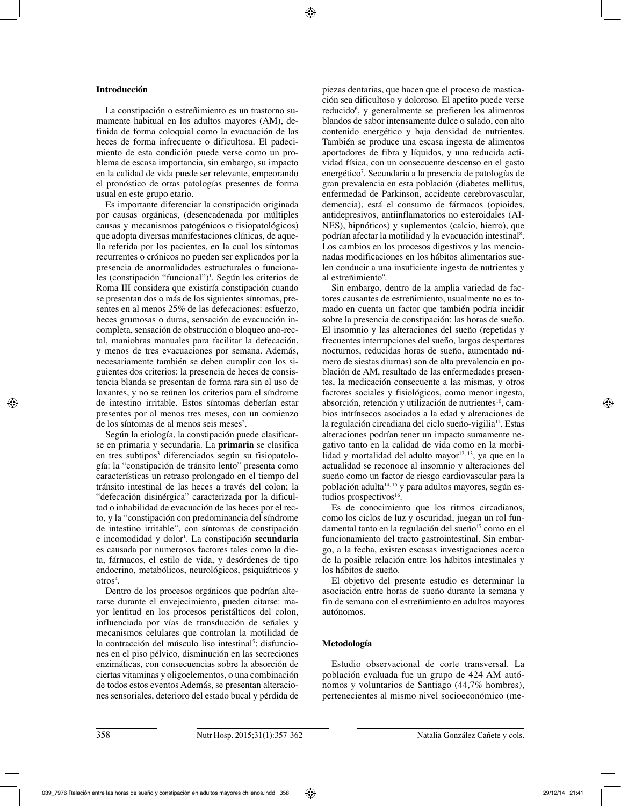# **Introducción**

La constipación o estreñimiento es un trastorno sumamente habitual en los adultos mayores (AM), definida de forma coloquial como la evacuación de las heces de forma infrecuente o dificultosa. El padecimiento de esta condición puede verse como un problema de escasa importancia, sin embargo, su impacto en la calidad de vida puede ser relevante, empeorando el pronóstico de otras patologías presentes de forma usual en este grupo etario.

Es importante diferenciar la constipación originada por causas orgánicas, (desencadenada por múltiples causas y mecanismos patogénicos o fisiopatológicos) que adopta diversas manifestaciones clínicas, de aquella referida por los pacientes, en la cual los síntomas recurrentes o crónicos no pueden ser explicados por la presencia de anormalidades estructurales o funcionales (constipación "funcional")1 . Según los criterios de Roma III considera que existiría constipación cuando se presentan dos o más de los siguientes síntomas, presentes en al menos 25% de las defecaciones: esfuerzo, heces grumosas o duras, sensación de evacuación incompleta, sensación de obstrucción o bloqueo ano-rectal, maniobras manuales para facilitar la defecación, y menos de tres evacuaciones por semana. Además, necesariamente también se deben cumplir con los siguientes dos criterios: la presencia de heces de consistencia blanda se presentan de forma rara sin el uso de laxantes, y no se reúnen los criterios para el síndrome de intestino irritable. Estos síntomas deberían estar presentes por al menos tres meses, con un comienzo de los síntomas de al menos seis meses2 .

Según la etiología, la constipación puede clasificarse en primaria y secundaria. La **primaria** se clasifica en tres subtipos<sup>3</sup> diferenciados según su fisiopatología: la "constipación de tránsito lento" presenta como características un retraso prolongado en el tiempo del tránsito intestinal de las heces a través del colon; la "defecación disinérgica" caracterizada por la dificultad o inhabilidad de evacuación de las heces por el recto, y la "constipación con predominancia del síndrome de intestino irritable", con síntomas de constipación e incomodidad y dolor<sup>1</sup>. La constipación **secundaria** es causada por numerosos factores tales como la dieta, fármacos, el estilo de vida, y desórdenes de tipo endocrino, metabólicos, neurológicos, psiquiátricos y  $\text{otros}^4$ .

Dentro de los procesos orgánicos que podrían alterarse durante el envejecimiento, pueden citarse: mayor lentitud en los procesos peristálticos del colon, influenciada por vías de transducción de señales y mecanismos celulares que controlan la motilidad de la contracción del músculo liso intestinal<sup>5</sup>; disfunciones en el piso pélvico, disminución en las secreciones enzimáticas, con consecuencias sobre la absorción de ciertas vitaminas y oligoelementos, o una combinación de todos estos eventos Además, se presentan alteraciones sensoriales, deterioro del estado bucal y pérdida de piezas dentarias, que hacen que el proceso de masticación sea dificultoso y doloroso. El apetito puede verse reducido<sup>6</sup>, y generalmente se prefieren los alimentos blandos de sabor intensamente dulce o salado, con alto contenido energético y baja densidad de nutrientes. También se produce una escasa ingesta de alimentos aportadores de fibra y líquidos, y una reducida actividad física, con un consecuente descenso en el gasto energético<sup>7</sup>. Secundaria a la presencia de patologías de gran prevalencia en esta población (diabetes mellitus, enfermedad de Parkinson, accidente cerebrovascular, demencia), está el consumo de fármacos (opioides, antidepresivos, antiinflamatorios no esteroidales (AI-NES), hipnóticos) y suplementos (calcio, hierro), que podrían afectar la motilidad y la evacuación intestinal8 . Los cambios en los procesos digestivos y las mencionadas modificaciones en los hábitos alimentarios suelen conducir a una insuficiente ingesta de nutrientes y al estreñimiento<sup>9</sup>.

Sin embargo, dentro de la amplia variedad de factores causantes de estreñimiento, usualmente no es tomado en cuenta un factor que también podría incidir sobre la presencia de constipación: las horas de sueño. El insomnio y las alteraciones del sueño (repetidas y frecuentes interrupciones del sueño, largos despertares nocturnos, reducidas horas de sueño, aumentado número de siestas diurnas) son de alta prevalencia en población de AM, resultado de las enfermedades presentes, la medicación consecuente a las mismas, y otros factores sociales y fisiológicos, como menor ingesta, absorción, retención y utilización de nutrientes<sup>10</sup>, cambios intrínsecos asociados a la edad y alteraciones de la regulación circadiana del ciclo sueño-vigilia<sup>11</sup>. Estas alteraciones podrían tener un impacto sumamente negativo tanto en la calidad de vida como en la morbilidad y mortalidad del adulto mayor $12, 13$ , ya que en la actualidad se reconoce al insomnio y alteraciones del sueño como un factor de riesgo cardiovascular para la población adulta<sup>14, 15</sup> y para adultos mayores, según estudios prospectivos<sup>16</sup>.

Es de conocimiento que los ritmos circadianos, como los ciclos de luz y oscuridad, juegan un rol fundamental tanto en la regulación del sueño<sup>17</sup> como en el funcionamiento del tracto gastrointestinal. Sin embargo, a la fecha, existen escasas investigaciones acerca de la posible relación entre los hábitos intestinales y los hábitos de sueño.

El objetivo del presente estudio es determinar la asociación entre horas de sueño durante la semana y fin de semana con el estreñimiento en adultos mayores autónomos.

# **Metodología**

Estudio observacional de corte transversal. La población evaluada fue un grupo de 424 AM autónomos y voluntarios de Santiago (44,7% hombres), pertenecientes al mismo nivel socioeconómico (me-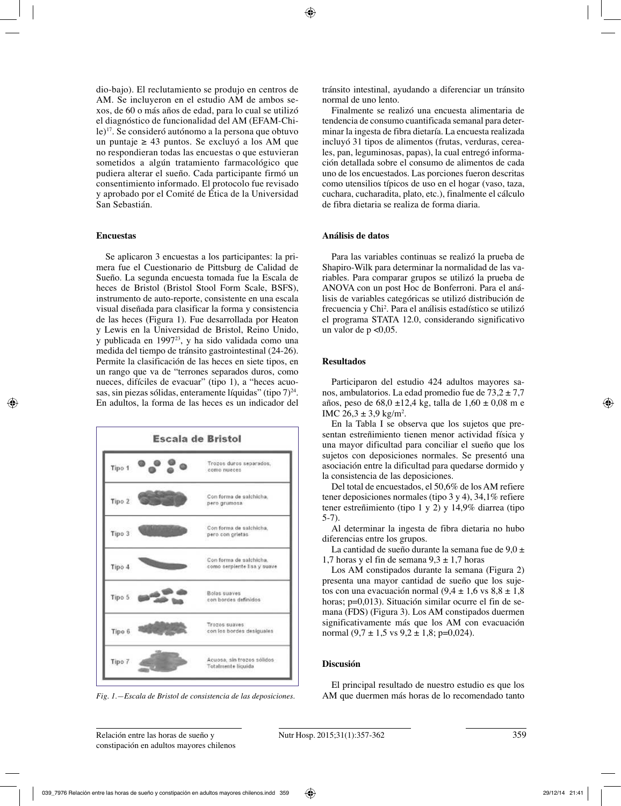dio-bajo). El reclutamiento se produjo en centros de AM. Se incluyeron en el estudio AM de ambos sexos, de 60 o más años de edad, para lo cual se utilizó el diagnóstico de funcionalidad del AM (EFAM-Chile)17. Se consideró autónomo a la persona que obtuvo un puntaje ≥ 43 puntos. Se excluyó a los AM que no respondieran todas las encuestas o que estuvieran sometidos a algún tratamiento farmacológico que pudiera alterar el sueño. Cada participante firmó un consentimiento informado. El protocolo fue revisado y aprobado por el Comité de Ética de la Universidad San Sebastián.

#### **Encuestas**

Se aplicaron 3 encuestas a los participantes: la primera fue el Cuestionario de Pittsburg de Calidad de Sueño. La segunda encuesta tomada fue la Escala de heces de Bristol (Bristol Stool Form Scale, BSFS), instrumento de auto-reporte, consistente en una escala visual diseñada para clasificar la forma y consistencia de las heces (Figura 1). Fue desarrollada por Heaton y Lewis en la Universidad de Bristol, Reino Unido, y publicada en 199723, y ha sido validada como una medida del tiempo de tránsito gastrointestinal (24-26). Permite la clasificación de las heces en siete tipos, en un rango que va de "terrones separados duros, como nueces, difíciles de evacuar" (tipo 1), a "heces acuosas, sin piezas sólidas, enteramente líquidas" (tipo  $7)^{24}$ . En adultos, la forma de las heces es un indicador del



tránsito intestinal, ayudando a diferenciar un tránsito normal de uno lento.

Finalmente se realizó una encuesta alimentaria de tendencia de consumo cuantificada semanal para determinar la ingesta de fibra dietaría. La encuesta realizada incluyó 31 tipos de alimentos (frutas, verduras, cereales, pan, leguminosas, papas), la cual entregó información detallada sobre el consumo de alimentos de cada uno de los encuestados. Las porciones fueron descritas como utensilios típicos de uso en el hogar (vaso, taza, cuchara, cucharadita, plato, etc.), finalmente el cálculo de fibra dietaria se realiza de forma diaria.

# **Análisis de datos**

Para las variables continuas se realizó la prueba de Shapiro-Wilk para determinar la normalidad de las variables. Para comparar grupos se utilizó la prueba de ANOVA con un post Hoc de Bonferroni. Para el análisis de variables categóricas se utilizó distribución de frecuencia y Chi2 . Para el análisis estadístico se utilizó el programa STATA 12.0, considerando significativo un valor de  $p \leq 0.05$ .

### **Resultados**

Participaron del estudio 424 adultos mayores sanos, ambulatorios. La edad promedio fue de  $73.2 \pm 7.7$ años, peso de 68,0 ±12,4 kg, talla de 1,60 ± 0,08 m e IMC  $26.3 \pm 3.9$  kg/m<sup>2</sup>.

En la Tabla I se observa que los sujetos que presentan estreñimiento tienen menor actividad física y una mayor dificultad para conciliar el sueño que los sujetos con deposiciones normales. Se presentó una asociación entre la dificultad para quedarse dormido y la consistencia de las deposiciones.

Del total de encuestados, el 50,6% de los AM refiere tener deposiciones normales (tipo 3 y 4), 34,1% refiere tener estreñimiento (tipo 1 y 2) y 14,9% diarrea (tipo 5-7).

Al determinar la ingesta de fibra dietaria no hubo diferencias entre los grupos.

La cantidad de sueño durante la semana fue de  $9.0 \pm$ 1,7 horas y el fin de semana  $9.3 \pm 1.7$  horas

Los AM constipados durante la semana (Figura 2) presenta una mayor cantidad de sueño que los sujetos con una evacuación normal (9,4  $\pm$  1,6 vs 8,8  $\pm$  1,8 horas; p=0,013). Situación similar ocurre el fin de semana (FDS) (Figura 3). Los AM constipados duermen significativamente más que los AM con evacuación normal  $(9.7 \pm 1.5 \text{ vs } 9.2 \pm 1.8; \text{ p=0.024}).$ 

# **Discusión**

El principal resultado de nuestro estudio es que los *Fig. 1.—Escala de Bristol de consistencia de las deposiciones.* AM que duermen más horas de lo recomendado tanto